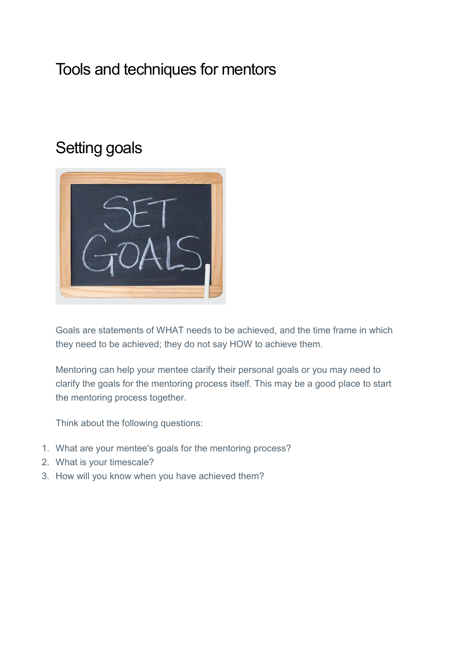# Tools and techniques for mentors

# Setting goals



Goals are statements of WHAT needs to be achieved, and the time frame in which they need to be achieved; they do not say HOW to achieve them.

Mentoring can help your mentee clarify their personal goals or you may need to clarify the goals for the mentoring process itself. This may be a good place to start the mentoring process together.

Think about the following questions:

- 1. What are your mentee's goals for the mentoring process?
- 2. What is your timescale?
- 3. How will you know when you have achieved them?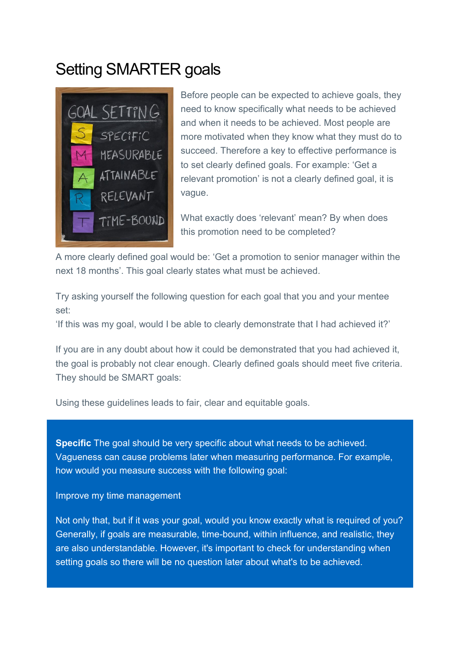# Setting SMARTER goals



Before people can be expected to achieve goals, they need to know specifically what needs to be achieved and when it needs to be achieved. Most people are more motivated when they know what they must do to succeed. Therefore a key to effective performance is to set clearly defined goals. For example: 'Get a relevant promotion' is not a clearly defined goal, it is vague.

TiME-BOUND What exactly does 'relevant' mean? By when does this promotion need to be completed?

A more clearly defined goal would be: 'Get a promotion to senior manager within the next 18 months'. This goal clearly states what must be achieved.

Try asking yourself the following question for each goal that you and your mentee set:

'If this was my goal, would I be able to clearly demonstrate that I had achieved it?'

If you are in any doubt about how it could be demonstrated that you had achieved it, the goal is probably not clear enough. Clearly defined goals should meet five criteria. They should be SMART goals:

Using these guidelines leads to fair, clear and equitable goals.

**Specific** The goal should be very specific about what needs to be achieved. Vagueness can cause problems later when measuring performance. For example, how would you measure success with the following goal:

Improve my time management

Not only that, but if it was your goal, would you know exactly what is required of you? Generally, if goals are measurable, time-bound, within influence, and realistic, they are also understandable. However, it's important to check for understanding when setting goals so there will be no question later about what's to be achieved.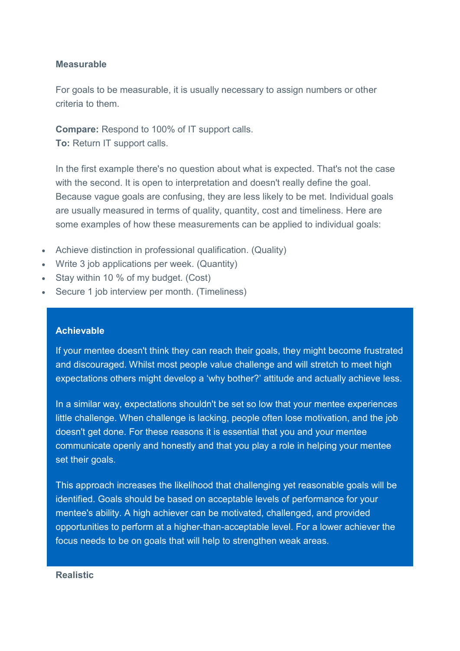### **Measurable**

For goals to be measurable, it is usually necessary to assign numbers or other criteria to them.

**Compare:** Respond to 100% of IT support calls. **To:** Return IT support calls.

In the first example there's no question about what is expected. That's not the case with the second. It is open to interpretation and doesn't really define the goal. Because vague goals are confusing, they are less likely to be met. Individual goals are usually measured in terms of quality, quantity, cost and timeliness. Here are some examples of how these measurements can be applied to individual goals:

- Achieve distinction in professional qualification. (Quality)
- Write 3 job applications per week. (Quantity)
- Stay within 10 % of my budget. (Cost)
- Secure 1 job interview per month. (Timeliness)

### **Achievable**

If your mentee doesn't think they can reach their goals, they might become frustrated and discouraged. Whilst most people value challenge and will stretch to meet high expectations others might develop a 'why bother?' attitude and actually achieve less.

In a similar way, expectations shouldn't be set so low that your mentee experiences little challenge. When challenge is lacking, people often lose motivation, and the job doesn't get done. For these reasons it is essential that you and your mentee communicate openly and honestly and that you play a role in helping your mentee set their goals.

This approach increases the likelihood that challenging yet reasonable goals will be identified. Goals should be based on acceptable levels of performance for your mentee's ability. A high achiever can be motivated, challenged, and provided opportunities to perform at a higher-than-acceptable level. For a lower achiever the focus needs to be on goals that will help to strengthen weak areas.

#### **Realistic**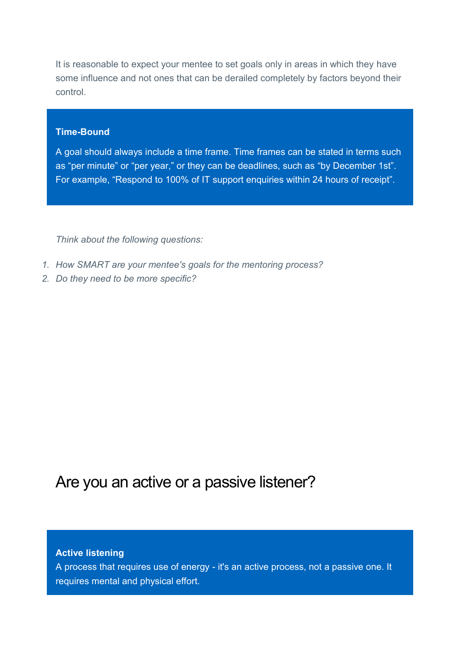It is reasonable to expect your mentee to set goals only in areas in which they have some influence and not ones that can be derailed completely by factors beyond their control.

### **Time-Bound**

A goal should always include a time frame. Time frames can be stated in terms such as "per minute" or "per year," or they can be deadlines, such as "by December 1st". For example, "Respond to 100% of IT support enquiries within 24 hours of receipt".

*Think about the following questions:* 

- *1. How SMART are your mentee's goals for the mentoring process?*
- *2. Do they need to be more specific?*

# Are you an active or a passive listener?

#### **Active listening**

A process that requires use of energy - it's an active process, not a passive one. It requires mental and physical effort.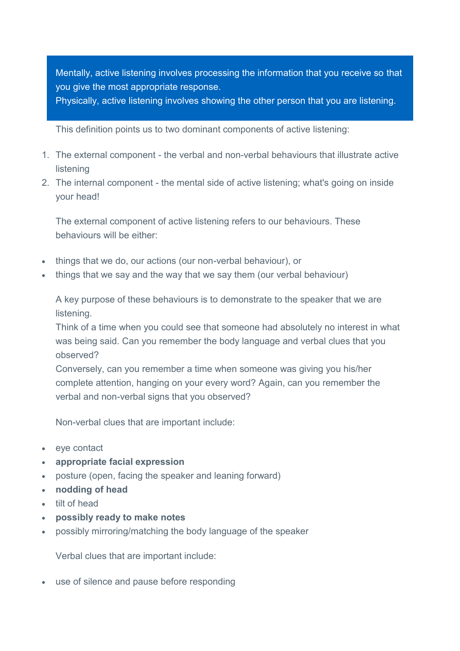Mentally, active listening involves processing the information that you receive so that you give the most appropriate response.

Physically, active listening involves showing the other person that you are listening.

This definition points us to two dominant components of active listening:

- 1. The external component the verbal and non-verbal behaviours that illustrate active listening
- 2. The internal component the mental side of active listening; what's going on inside your head!

The external component of active listening refers to our behaviours. These behaviours will be either:

- things that we do, our actions (our non-verbal behaviour), or
- things that we say and the way that we say them (our verbal behaviour)

A key purpose of these behaviours is to demonstrate to the speaker that we are listening.

Think of a time when you could see that someone had absolutely no interest in what was being said. Can you remember the body language and verbal clues that you observed?

Conversely, can you remember a time when someone was giving you his/her complete attention, hanging on your every word? Again, can you remember the verbal and non-verbal signs that you observed?

Non-verbal clues that are important include:

- eye contact
- **appropriate facial expression**
- posture (open, facing the speaker and leaning forward)
- **nodding of head**
- tilt of head
- **possibly ready to make notes**
- possibly mirroring/matching the body language of the speaker

Verbal clues that are important include:

use of silence and pause before responding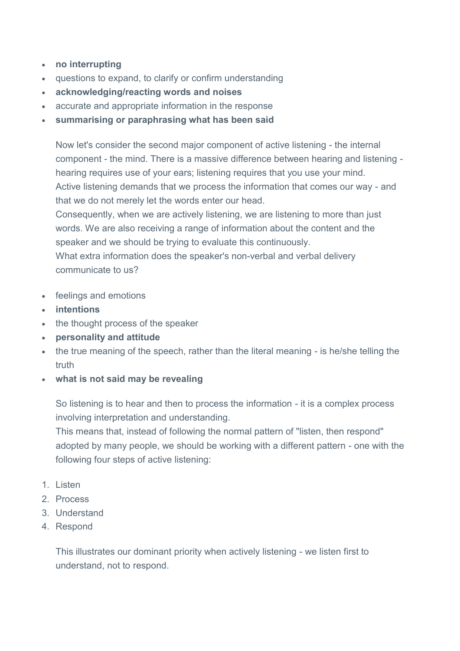- **no interrupting**
- questions to expand, to clarify or confirm understanding
- **acknowledging/reacting words and noises**
- accurate and appropriate information in the response
- **summarising or paraphrasing what has been said**

Now let's consider the second major component of active listening - the internal component - the mind. There is a massive difference between hearing and listening hearing requires use of your ears; listening requires that you use your mind. Active listening demands that we process the information that comes our way - and that we do not merely let the words enter our head.

Consequently, when we are actively listening, we are listening to more than just words. We are also receiving a range of information about the content and the speaker and we should be trying to evaluate this continuously.

What extra information does the speaker's non-verbal and verbal delivery communicate to us?

- feelings and emotions
- **intentions**
- the thought process of the speaker
- **personality and attitude**
- the true meaning of the speech, rather than the literal meaning is he/she telling the truth
- **what is not said may be revealing**

So listening is to hear and then to process the information - it is a complex process involving interpretation and understanding.

This means that, instead of following the normal pattern of "listen, then respond" adopted by many people, we should be working with a different pattern - one with the following four steps of active listening:

- 1. Listen
- 2. Process
- 3. Understand
- 4. Respond

This illustrates our dominant priority when actively listening - we listen first to understand, not to respond.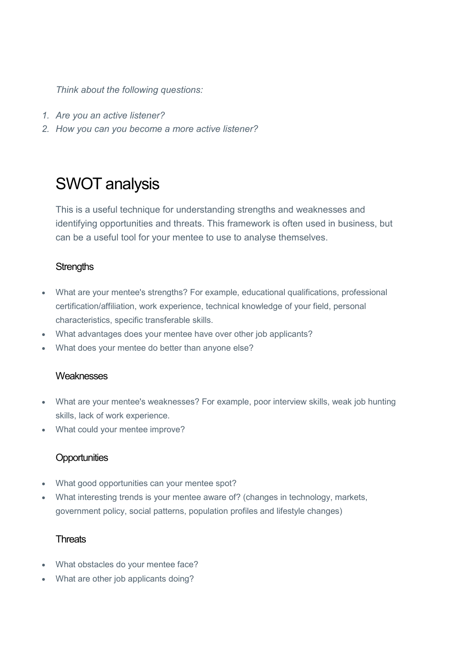*Think about the following questions:* 

- *1. Are you an active listener?*
- *2. How you can you become a more active listener?*

# SWOT analysis

This is a useful technique for understanding strengths and weaknesses and identifying opportunities and threats. This framework is often used in business, but can be a useful tool for your mentee to use to analyse themselves.

# **Strengths**

- What are your mentee's strengths? For example, educational qualifications, professional certification/affiliation, work experience, technical knowledge of your field, personal characteristics, specific transferable skills.
- What advantages does your mentee have over other job applicants?
- What does your mentee do better than anyone else?

### **Weaknesses**

- What are your mentee's weaknesses? For example, poor interview skills, weak job hunting skills, lack of work experience.
- What could your mentee improve?

# **Opportunities**

- What good opportunities can your mentee spot?
- What interesting trends is your mentee aware of? (changes in technology, markets, government policy, social patterns, population profiles and lifestyle changes)

### **Threats**

- What obstacles do your mentee face?
- What are other job applicants doing?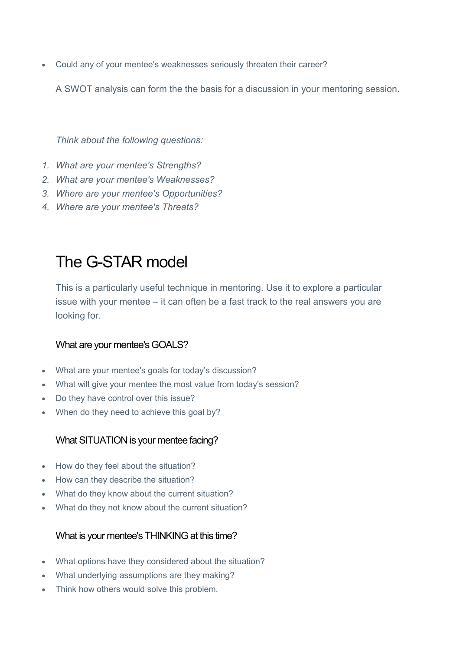Could any of your mentee's weaknesses seriously threaten their career?

A SWOT analysis can form the the basis for a discussion in your mentoring session.

*Think about the following questions:* 

- *1. What are your mentee's Strengths?*
- *2. What are your mentee's Weaknesses?*
- *3. Where are your mentee's Opportunities?*
- *4. Where are your mentee's Threats?*

# The G-STAR model

This is a particularly useful technique in mentoring. Use it to explore a particular issue with your mentee – it can often be a fast track to the real answers you are looking for.

### What are your mentee's GOALS?

- What are your mentee's goals for today's discussion?
- What will give your mentee the most value from today's session?
- Do they have control over this issue?
- When do they need to achieve this goal by?

### What SITUATION is your mentee facing?

- How do they feel about the situation?
- How can they describe the situation?
- What do they know about the current situation?
- What do they not know about the current situation?

### What is your mentee's THINKING at this time?

- What options have they considered about the situation?
- What underlying assumptions are they making?
- Think how others would solve this problem.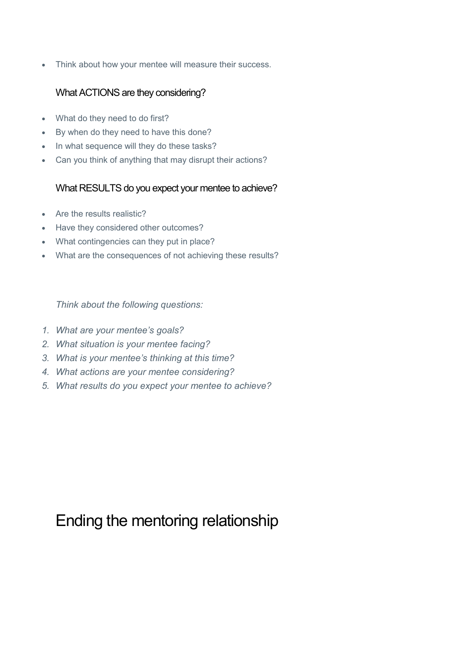Think about how your mentee will measure their success.

# What ACTIONS are they considering?

- What do they need to do first?
- By when do they need to have this done?
- In what sequence will they do these tasks?
- Can you think of anything that may disrupt their actions?

# What RESULTS do you expect your mentee to achieve?

- Are the results realistic?
- Have they considered other outcomes?
- What contingencies can they put in place?
- What are the consequences of not achieving these results?

*Think about the following questions:* 

- *1. What are your mentee's goals?*
- *2. What situation is your mentee facing?*
- *3. What is your mentee's thinking at this time?*
- *4. What actions are your mentee considering?*
- *5. What results do you expect your mentee to achieve?*

# Ending the mentoring relationship